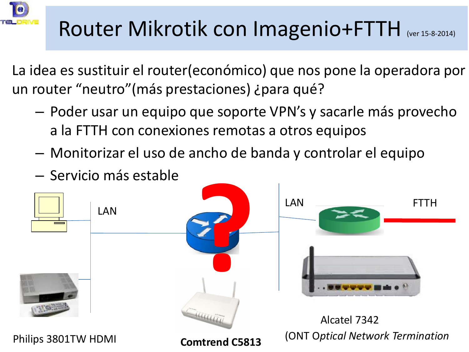

## Router Mikrotik con Imagenio+FTTH (Ver 15-8-2014)

La idea es sustituir el router(económico) que nos pone la operadora por un router "neutro"(más prestaciones) ¿para qué?

- Poder usar un equipo que soporte VPN's y sacarle más provecho a la FTTH con conexiones remotas a otros equipos
- Monitorizar el uso de ancho de banda y controlar el equipo
- Servicio más estable

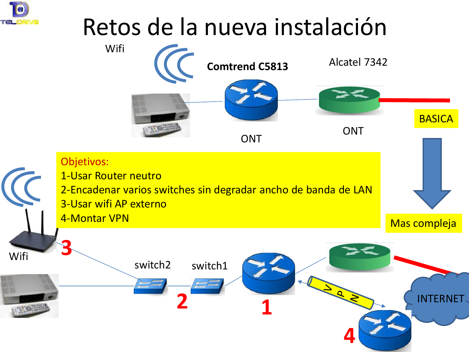

# Retos de la nueva instalación

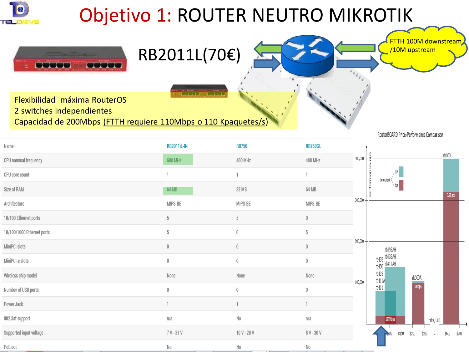

## Objetivo 1: ROUTER NEUTRO MIKROTIK



Flexibilidad máxima RouterOS 2 switches independientes Capacidad de 200Mbps (FTTH requiere 110Mbps o 110 Kpaquetes/s)

RB2011L(70€)

**METTI** 

RouterBOARD Price-Performance Comparison

FTTH 100M downstream

/10M upstream

| Name                       | <b>RB2011iL-IN</b> | <b>RB750</b> | <b>RB750GL</b> |             |                                |                          |                      |  |
|----------------------------|--------------------|--------------|----------------|-------------|--------------------------------|--------------------------|----------------------|--|
| CPU nominal frequency      | 600 MHz            | 400 MHz      | 400 MHz        | $400,000 -$ |                                |                          | rb1000               |  |
| CPU core count             |                    |              |                |             | <b>DDS</b><br>throughput       |                          |                      |  |
| Size of RAM                | 64 MB              | 32 MB        | 64 MB          |             | \ bps                          |                          | $3.26\,\mathrm{kps}$ |  |
| Architecture               | MIPS-BE            | MIPS-BE      | MIPS-BE        | 300,000     |                                |                          |                      |  |
| 10/100 Ethernet ports      | 5                  | 5            | $0\,$          |             |                                |                          |                      |  |
| 10/100/1000 Ethernet ports | 5                  | $\mathbf 0$  | 5              |             |                                |                          |                      |  |
| MiniPCI slots              | 0                  | $\theta$     | $\mathbf 0$    | $200,000$ - | rb493AH                        |                          |                      |  |
| MiniPCI-e slots            | $\,0$              | $\,0\,$      | $\,0\,$        |             | rb493 rb433AH<br>rb450 rb411AH |                          |                      |  |
| Wireless chip model        | None               | None         | None           |             | rb433<br>$-th411A$             | rb600A                   |                      |  |
| Number of USB ports        | 0                  | $\theta$     | $\mathbf 0$    | $100,000 -$ | rb411                          | 1Gbps                    |                      |  |
| Power Jack                 |                    |              |                |             |                                |                          |                      |  |
| 802.3af support            | n/a                | No           | n/a            |             | 197Mbps                        | price, USD               |                      |  |
| Supported input voltage    | 7 V - 31 V         | 10 V - 28 V  | 8 V - 30 V     |             | \$150<br>$-400$                | \$250<br>\$200<br>$\sim$ | \$600<br>\$700       |  |
| PoE out                    | No                 | No           | No             |             |                                |                          |                      |  |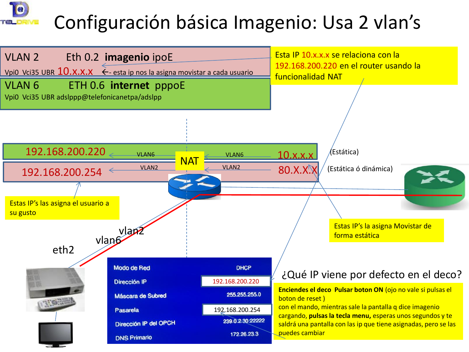## Configuración básica Imagenio: Usa 2 vlan's

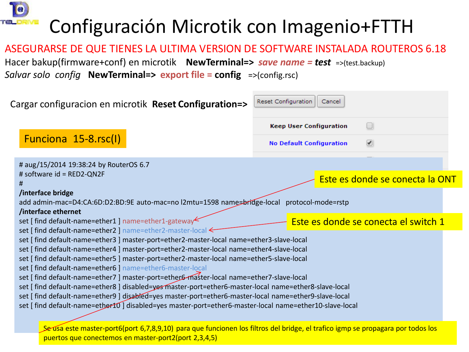

## Configuración Microtik con Imagenio+FTTH

#### ASEGURARSE DE QUE TIENES LA ULTIMA VERSION DE SOFTWARE INSTALADA ROUTEROS 6.18 Hacer bakup(firmware+conf) en microtik **NewTerminal=>** *save name = test* =>(test.backup) *Salvar solo config* **NewTerminal=>****export file = config** =>(config.rsc)

| Cargar configuracion en microtik Reset Configuration=>                                                                                                                                                                                                                                                                                                                                                                                                                                                                                                                                                                                                                                                                                                                                                                      | Reset Configuration<br>Cancel                               |
|-----------------------------------------------------------------------------------------------------------------------------------------------------------------------------------------------------------------------------------------------------------------------------------------------------------------------------------------------------------------------------------------------------------------------------------------------------------------------------------------------------------------------------------------------------------------------------------------------------------------------------------------------------------------------------------------------------------------------------------------------------------------------------------------------------------------------------|-------------------------------------------------------------|
|                                                                                                                                                                                                                                                                                                                                                                                                                                                                                                                                                                                                                                                                                                                                                                                                                             | <b>Keep User Configuration</b><br>H                         |
| Funciona 15-8.rsc(I)                                                                                                                                                                                                                                                                                                                                                                                                                                                                                                                                                                                                                                                                                                                                                                                                        | $\overline{\mathscr{S}}$<br><b>No Default Configuration</b> |
| # aug/15/2014 19:38:24 by RouterOS 6.7                                                                                                                                                                                                                                                                                                                                                                                                                                                                                                                                                                                                                                                                                                                                                                                      |                                                             |
| # software id = RED2-QN2F<br>#                                                                                                                                                                                                                                                                                                                                                                                                                                                                                                                                                                                                                                                                                                                                                                                              | Este es donde se conecta la ONT                             |
| /interface bridge<br>add admin-mac=D4:CA:6D:D2:BD:9E auto-mac=no l2mtu=1598 name=bridge-local protocol-mode=rstp<br>/interface ethernet                                                                                                                                                                                                                                                                                                                                                                                                                                                                                                                                                                                                                                                                                     |                                                             |
| set   find default-name=ether1   name=ether1-gateway                                                                                                                                                                                                                                                                                                                                                                                                                                                                                                                                                                                                                                                                                                                                                                        | Este es donde se conecta el switch 1                        |
| set [find default-name=ether2 ] name=ether2-master-local ←<br>set [find default-name=ether3 ] master-port=ether2-master-local name=ether3-slave-local<br>set [find default-name=ether4 ] master-port=ether2-master-local name=ether4-slave-local<br>set [find default-name=ether5 ] master-port=ether2-master-local name=ether5-slave-local<br>set [find default-name=ether6 ] name=ether6-master-local<br>set [find default-name=ether7 ] master-port=ether6-master-local name=ether7-slave-local<br>set [find default-name=ether8 ] disabled=yes master-port=ether6-master-local name=ether8-slave-local<br>set [find default-name=ether9 ] disabled=yes master-port=ether6-master-local name=ether9-slave-local<br>set [find default-name=ether10] disabled=yes master-port=ether6-master-local name=ether10-slave-local |                                                             |

Se usa este master-port6(port 6,7,8,9,10) para que funcionen los filtros del bridge, el trafico igmp se propagara por todos los puertos que conectemos en master-port2(port 2,3,4,5)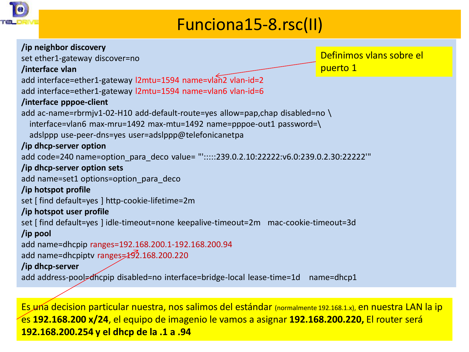

### Funciona15-8.rsc(II)

| /ip neighbor discovery                                                                    |                          |
|-------------------------------------------------------------------------------------------|--------------------------|
| set ether1-gateway discover=no                                                            | Definimos vlans sobre el |
| /interface vlan                                                                           | puerto 1                 |
| add interface=ether1-gateway l2mtu=1594 name=vlan2 vlan-id=2                              |                          |
| add interface=ether1-gateway l2mtu=1594 name=vlan6 vlan-id=6                              |                          |
| /interface pppoe-client                                                                   |                          |
| add ac-name=rbrmjv1-02-H10 add-default-route=yes allow=pap,chap disabled=no               |                          |
| interface=vlan6 max-mru=1492 max-mtu=1492 name=pppoe-out1 password=\                      |                          |
| adslppp use-peer-dns=yes user=adslppp@telefonicanetpa                                     |                          |
| /ip dhcp-server option                                                                    |                          |
| add code=240 name=option_para_deco value= "':::::239.0.2.10:22222:v6.0:239.0.2.30:22222'" |                          |
| /ip dhcp-server option sets                                                               |                          |
| add name=set1 options=option para deco                                                    |                          |
| /ip hotspot profile                                                                       |                          |
| set [find default=yes ] http-cookie-lifetime=2m                                           |                          |
| /ip hotspot user profile                                                                  |                          |
| set [find default=yes ] idle-timeout=none keepalive-timeout=2m mac-cookie-timeout=3d      |                          |
| /ip pool                                                                                  |                          |
| add name=dhcpip ranges=192.168.200.1-192.168.200.94                                       |                          |
| add name=dhcpiptv ranges=192.168.200.220                                                  |                          |
| /ip dhcp-server                                                                           |                          |
| add address-pool=dhcpip disabled=no interface=bridge-local lease-time=1d                  | name=dhcp1               |

Es una decision particular nuestra, nos salimos del estándar (normalmente 192.168.1.x), en nuestra LAN la ip es **192.168.200 x/24**, el equipo de imagenio le vamos a asignar **192.168.200.220,** El router será **192.168.200.254 y el dhcp de la .1 a .94**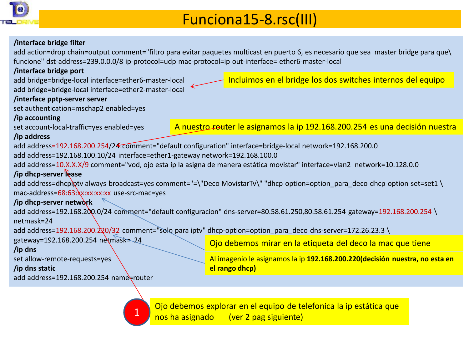

### Funciona15-8.rsc(III)

#### **/interface bridge filter**

add action=drop chain=output comment="filtro para evitar paquetes multicast en puerto 6, es necesario que sea master bridge para que\ funcione" dst-address=239.0.0.0/8 ip-protocol=udp mac-protocol=ip out-interface= ether6-master-local

#### **/interface bridge port**

add bridge=bridge-local interface=ether6-master-local

add bridge=bridge-local interface=ether2-master-local

#### **/interface pptp-server server**

set authentication=mschap2 enabled=yes

#### **/ip accounting**

set account-local-traffic=yes enabled=yes

A nuestro router le asignamos la ip 192.168.200.254 es una decisión nuestra

#### **/ip address**

add address=192.168.200.254/2 € comment="default configuration" interface=bridge-local network=192.168.200.0

add address=192.168.100.10/24 interface=ether1-gateway network=192.168.100.0

1

add address=10.X.X.X/9 comment="vod, ojo esta ip la asigna de manera estática movistar" interface=vlan2 network=10.128.0.0

#### **/ip dhcp-server lease**

add address=dhcpiptv always-broadcast=yes comment="=\"Deco MovistarTv\" "dhcp-option=option\_para\_deco dhcp-option-set=set1 \ mac-address=68:63:xx:xx:xx:xx use-src-mac=yes

#### **/ip dhcp-server network**

add address=192.168.200.0/24 comment="default configuracion" dns-server=80.58.61.250,80.58.61.254 gateway=192.168.200.254 \ netmask=24

add address=192.168.200.220/32 comment="solo para iptv" dhcp-option=option para\_deco dns-server=172.26.23.3 \

#### gateway=192.168.200.254 netmask= 24

#### **/ip dns**

set allow-remote-requests=yes

#### **/ip dns static**

add address=192.168.200.254 name=router

Ojo debemos mirar en la etiqueta del deco la mac que tiene

Al imagenio le asignamos la ip **192.168.200.220(decisión nuestra, no esta en el rango dhcp)**

Ojo debemos explorar en el equipo de telefonica la ip estática que nos ha asignado (ver 2 pag siguiente)

Incluimos en el bridge los dos switches internos del equipo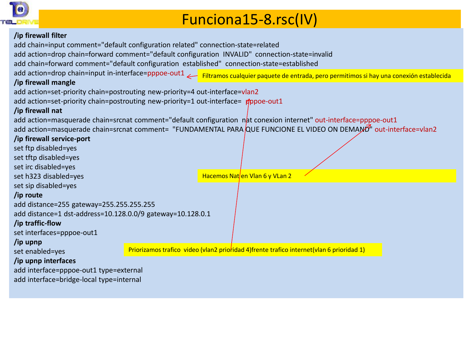

### Funciona15-8.rsc(IV)

#### **/ip firewall filter**

add chain=input comment="default configuration related" connection-state=related

add action=drop chain=forward comment="default configuration INVALID" connection-state=invalid

add chain=forward comment="default configuration established" connection-state=established

add action=drop chain=input in-interface=pppoe-out1 <sub><</sub> Filtramos cualquier paquete de entrada, pero permitimos si hay una conexión establecida

#### **/ip firewall mangle**

add action=set-priority chain=postrouting new-priority=4 out-interface=vlan2

add action=set-priority chain=postrouting new-priority=1 out-interface=  $\phi$ ppoe-out1

#### **/ip firewall nat**

add action=masquerade chain=srcnat comment="default configuration nat conexion internet" out-interface=pppoe-out1 add action=masquerade chain=srcnat comment= "FUNDAMENTAL PARA QUE FUNCIONE EL VIDEO ON DEMAND" out-interface=vlan2

| /ip firewall service-port                                  |  |                                                                                            |  |
|------------------------------------------------------------|--|--------------------------------------------------------------------------------------------|--|
| set ftp disabled=yes                                       |  |                                                                                            |  |
| set tftp disabled=yes                                      |  |                                                                                            |  |
| set irc disabled=yes                                       |  |                                                                                            |  |
| set h323 disabled=yes                                      |  | Hacemos Nat/en Vlan 6 y VLan 2                                                             |  |
| set sip disabled=yes                                       |  |                                                                                            |  |
| /ip route                                                  |  |                                                                                            |  |
| add distance=255 gateway=255.255.255.255                   |  |                                                                                            |  |
| add distance=1 dst-address=10.128.0.0/9 gateway=10.128.0.1 |  |                                                                                            |  |
| /ip traffic-flow                                           |  |                                                                                            |  |
| set interfaces=pppoe-out1                                  |  |                                                                                            |  |
| /ip upnp                                                   |  |                                                                                            |  |
| set enabled=yes                                            |  | Priorizamos trafico video (vlan2 prioridad 4) frente trafico internet (vlan 6 prioridad 1) |  |
| /ip upnp interfaces                                        |  |                                                                                            |  |
| add interface=pppoe-out1 type=external                     |  |                                                                                            |  |
| add interface=bridge-local type=internal                   |  |                                                                                            |  |
|                                                            |  |                                                                                            |  |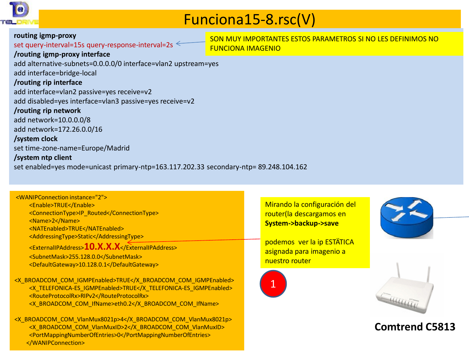

### Funciona15-8.rsc(V)

#### **routing igmp-proxy** set query-interval=15s query-response-interval=2s  $\leq$ **/routing igmp-proxy interface**

SON MUY IMPORTANTES ESTOS PARAMETROS SI NO LES DEFINIMOS NO FUNCIONA IMAGENIO

add alternative-subnets=0.0.0.0/0 interface=vlan2 upstream=yes add interface=bridge-local **/routing rip interface** add interface=vlan2 passive=yes receive=v2 add disabled=yes interface=vlan3 passive=yes receive=v2 **/routing rip network** add network=10.0.0.0/8 add network=172.26.0.0/16 **/system clock** set time-zone-name=Europe/Madrid **/system ntp client** set enabled=yes mode=unicast primary-ntp=163.117.202.33 secondary-ntp= 89.248.104.162

| <wanipconnection instance="2"></wanipconnection> |
|--------------------------------------------------|
| <enable>TRUE</enable>                            |
| <connectiontype>IP Routed</connectiontype>       |
| <name>2</name>                                   |
| <natenabled>TRUE</natenabled>                    |
| <addressingtype>Static</addressingtype>          |
| <externalipaddress>10.X.X.X</externalipaddress>  |
| <subnetmask>255.128.0.0</subnetmask>             |
| <defaultgateway>10.128.0.1</defaultgateway>      |
|                                                  |

<X\_BROADCOM\_COM\_IGMPEnabled>TRUE</X\_BROADCOM\_COM\_IGMPEnabled> <X\_TELEFONICA-ES\_IGMPEnabled>TRUE</X\_TELEFONICA-ES\_IGMPEnabled> <RouteProtocolRx>RIPv2</RouteProtocolRx> <X\_BROADCOM\_COM\_IfName>eth0.2</X\_BROADCOM\_COM\_IfName>

<X\_BROADCOM\_COM\_VlanMux8021p>4</X\_BROADCOM\_COM\_VlanMux8021p> <X\_BROADCOM\_COM\_VlanMuxID>2</X\_BROADCOM\_COM\_VlanMuxID> <PortMappingNumberOfEntries>0</PortMappingNumberOfEntries> </WANIPConnection>

Mirando la configuración del router(la descargamos en **System->backup->save**

podemos ver la ip ESTÄTICA asignada para imagenio a nuestro router







### **Comtrend C5813**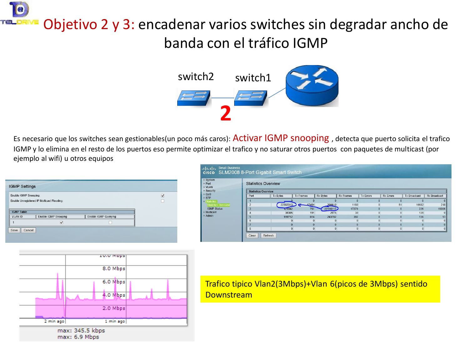## Objetivo 2 y 3: encadenar varios switches sin degradar ancho de banda con el tráfico IGMP



Es necesario que los switches sean gestionables(un poco más caros): Activar IGMP snooping , detecta que puerto solicita el trafico IGMP y lo elimina en el resto de los puertos eso permite optimizar el trafico y no saturar otros puertos con paquetes de multicast (por ejemplo al wifi) u otros equipos

| <b>IGMP Settings</b>                                           |  |
|----------------------------------------------------------------|--|
| ⊽<br>Enable IGMP Snooping:                                     |  |
| Enable Unregistered IP Multicast Flooding:                     |  |
|                                                                |  |
| <b>IGMP Table</b>                                              |  |
| Enable IGMP Snooping<br>Enable IGMP Querying<br><b>VLAN ID</b> |  |
| $\overline{\mathsf{v}}$                                        |  |
| Cancel<br>Save                                                 |  |
|                                                                |  |
|                                                                |  |

| ▶ System<br>$\triangleright$ Port<br><b>▶ VLAN</b> |      | <b>Statistics Overview</b>                                                                                                                                         |          |                |       |  |          |            |          |  |
|----------------------------------------------------|------|--------------------------------------------------------------------------------------------------------------------------------------------------------------------|----------|----------------|-------|--|----------|------------|----------|--|
| ▶ Security<br>$\triangleright$ QoS                 | Port | <b>Statistics Overview</b><br><b>Rx Bytes</b><br>Tx Bytes<br>Rx Frames<br><b>Tx Errors</b><br>Rx Errors<br><b>Tx Frames</b><br><b>Tx Broadcast</b><br>Rx Broadcast |          |                |       |  |          |            |          |  |
| $\triangleright$ STP                               |      |                                                                                                                                                                    |          |                |       |  |          |            | $\Omega$ |  |
| Statistics<br>Statistics Overview                  |      | 22382313                                                                                                                                                           | $-17454$ | 200610         | 1180  |  | 51       | 16682      | 218      |  |
| <b>IGMP Status</b>                                 |      | 121942                                                                                                                                                             | 751      | 22116117       | 17279 |  |          | 226        | 16806    |  |
| ▶ Multicast                                        |      | 38305                                                                                                                                                              | 191      | 2515           | 30    |  |          | 139        |          |  |
| <b>Admin</b>                                       |      | 119712                                                                                                                                                             | 614      | 243782         | 392   |  |          | 136        | 13       |  |
|                                                    |      |                                                                                                                                                                    | $\Omega$ | $\overline{0}$ |       |  | $\Omega$ | $\Omega$   | 0        |  |
|                                                    |      |                                                                                                                                                                    |          | $\Omega$       | n     |  |          | $\sqrt{ }$ | $\Omega$ |  |
|                                                    | g    |                                                                                                                                                                    | $\Omega$ | $\Omega$       |       |  | $\Omega$ | $\Omega$   | $\Omega$ |  |



Trafico tipico Vlan2(3Mbps)+Vlan 6(picos de 3Mbps) sentido **Downstream**